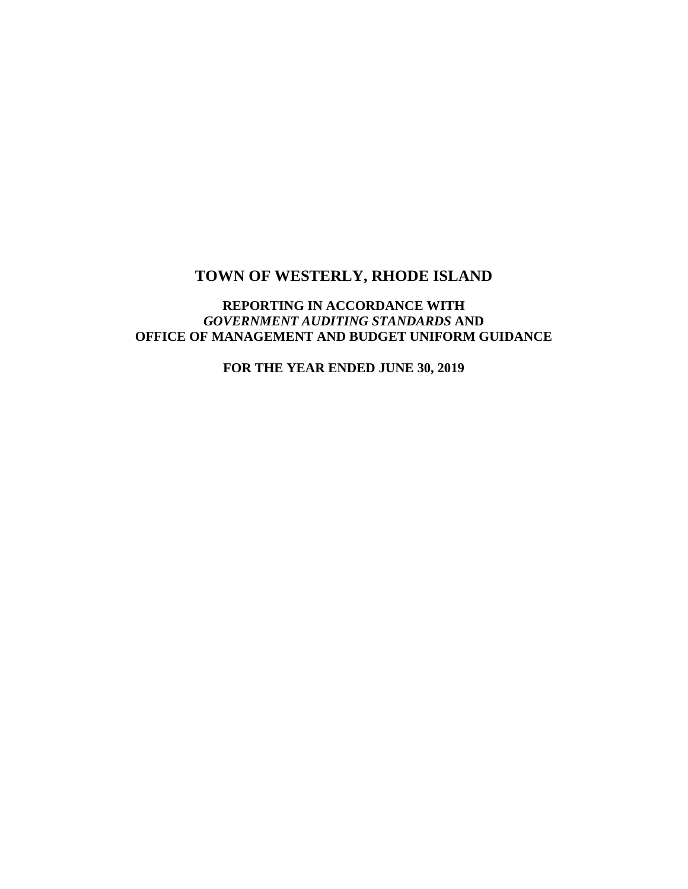## **REPORTING IN ACCORDANCE WITH**  *GOVERNMENT AUDITING STANDARDS* **AND OFFICE OF MANAGEMENT AND BUDGET UNIFORM GUIDANCE**

**FOR THE YEAR ENDED JUNE 30, 2019**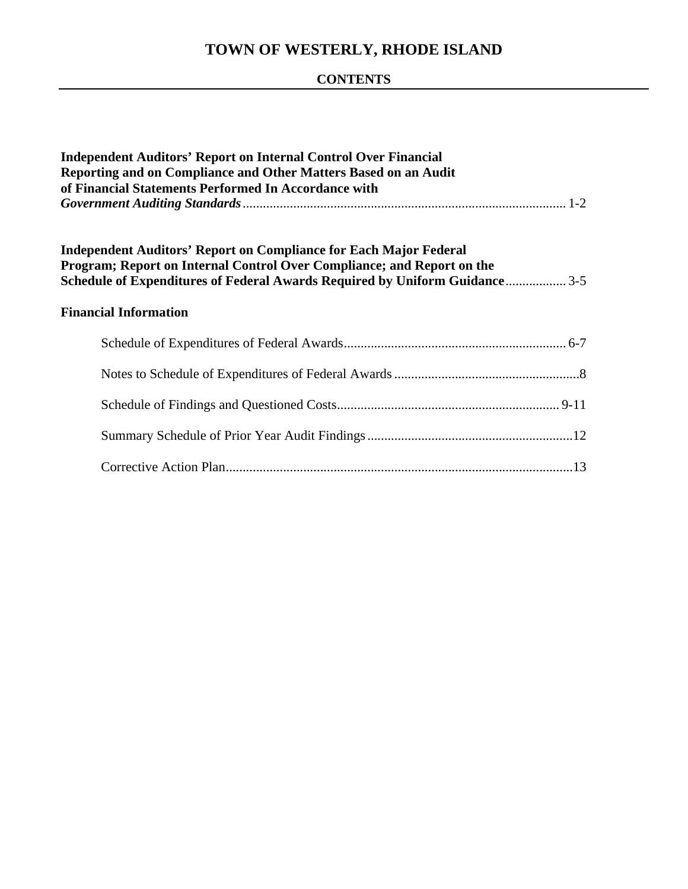## **CONTENTS**

| <b>Independent Auditors' Report on Internal Control Over Financial</b><br>Reporting and on Compliance and Other Matters Based on an Audit<br>of Financial Statements Performed In Accordance with                                 |  |  |
|-----------------------------------------------------------------------------------------------------------------------------------------------------------------------------------------------------------------------------------|--|--|
| <b>Independent Auditors' Report on Compliance for Each Major Federal</b><br>Program; Report on Internal Control Over Compliance; and Report on the<br>Schedule of Expenditures of Federal Awards Required by Uniform Guidance 3-5 |  |  |
| <b>Financial Information</b>                                                                                                                                                                                                      |  |  |
|                                                                                                                                                                                                                                   |  |  |
|                                                                                                                                                                                                                                   |  |  |
|                                                                                                                                                                                                                                   |  |  |
|                                                                                                                                                                                                                                   |  |  |
|                                                                                                                                                                                                                                   |  |  |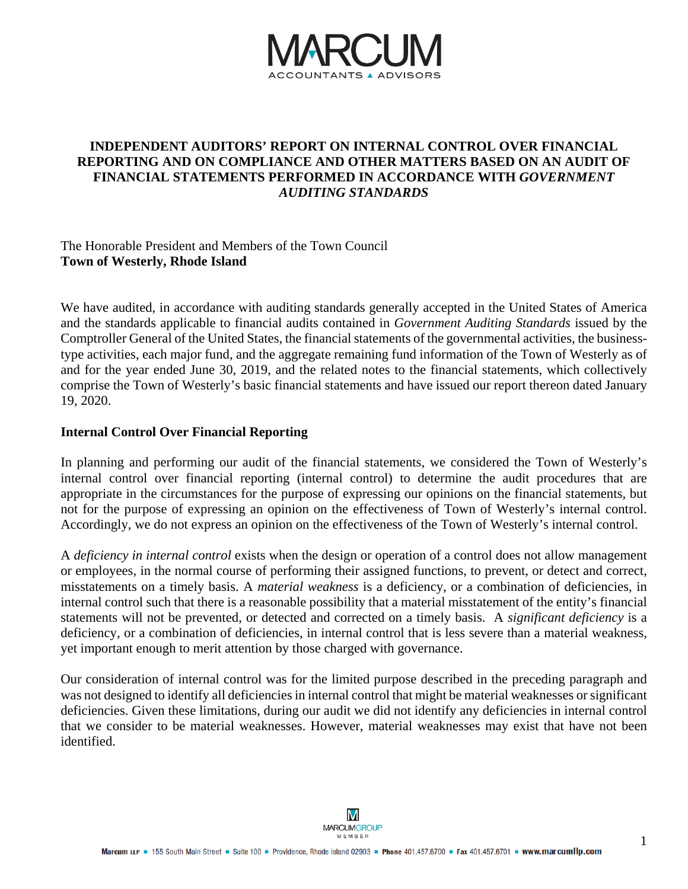

## **INDEPENDENT AUDITORS' REPORT ON INTERNAL CONTROL OVER FINANCIAL REPORTING AND ON COMPLIANCE AND OTHER MATTERS BASED ON AN AUDIT OF FINANCIAL STATEMENTS PERFORMED IN ACCORDANCE WITH** *GOVERNMENT AUDITING STANDARDS*

The Honorable President and Members of the Town Council **Town of Westerly, Rhode Island** 

We have audited, in accordance with auditing standards generally accepted in the United States of America and the standards applicable to financial audits contained in *Government Auditing Standards* issued by the Comptroller General of the United States, the financial statements of the governmental activities, the businesstype activities, each major fund, and the aggregate remaining fund information of the Town of Westerly as of and for the year ended June 30, 2019, and the related notes to the financial statements, which collectively comprise the Town of Westerly's basic financial statements and have issued our report thereon dated January 19, 2020.

#### **Internal Control Over Financial Reporting**

In planning and performing our audit of the financial statements, we considered the Town of Westerly's internal control over financial reporting (internal control) to determine the audit procedures that are appropriate in the circumstances for the purpose of expressing our opinions on the financial statements, but not for the purpose of expressing an opinion on the effectiveness of Town of Westerly's internal control. Accordingly, we do not express an opinion on the effectiveness of the Town of Westerly's internal control.

A *deficiency in internal control* exists when the design or operation of a control does not allow management or employees, in the normal course of performing their assigned functions, to prevent, or detect and correct, misstatements on a timely basis. A *material weakness* is a deficiency, or a combination of deficiencies, in internal control such that there is a reasonable possibility that a material misstatement of the entity's financial statements will not be prevented, or detected and corrected on a timely basis. A *significant deficiency* is a deficiency, or a combination of deficiencies, in internal control that is less severe than a material weakness, yet important enough to merit attention by those charged with governance.

Our consideration of internal control was for the limited purpose described in the preceding paragraph and was not designed to identify all deficiencies in internal control that might be material weaknesses or significant deficiencies. Given these limitations, during our audit we did not identify any deficiencies in internal control that we consider to be material weaknesses. However, material weaknesses may exist that have not been identified.

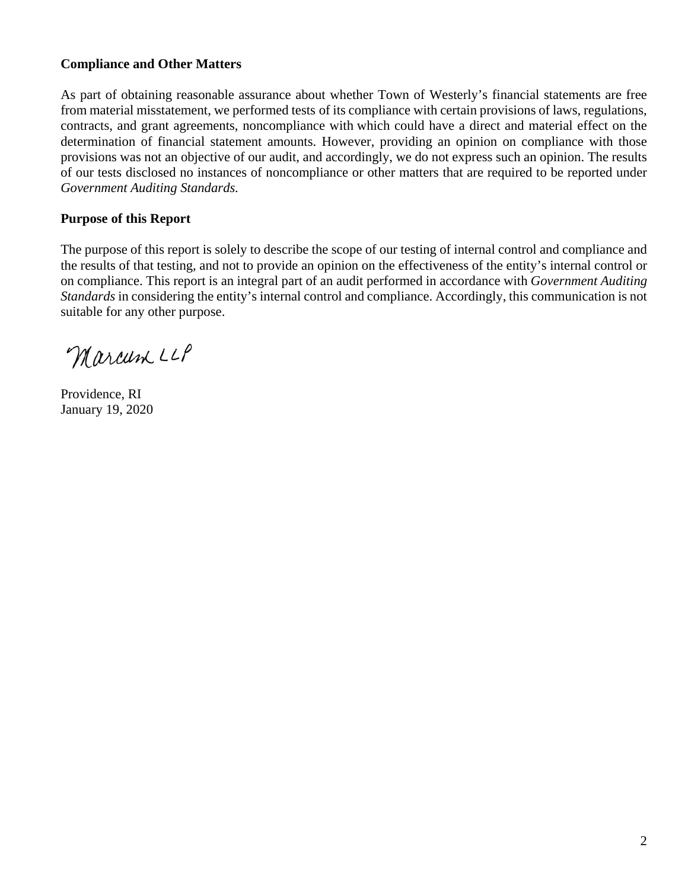## **Compliance and Other Matters**

As part of obtaining reasonable assurance about whether Town of Westerly's financial statements are free from material misstatement, we performed tests of its compliance with certain provisions of laws, regulations, contracts, and grant agreements, noncompliance with which could have a direct and material effect on the determination of financial statement amounts. However, providing an opinion on compliance with those provisions was not an objective of our audit, and accordingly, we do not express such an opinion. The results of our tests disclosed no instances of noncompliance or other matters that are required to be reported under *Government Auditing Standards.*

## **Purpose of this Report**

The purpose of this report is solely to describe the scope of our testing of internal control and compliance and the results of that testing, and not to provide an opinion on the effectiveness of the entity's internal control or on compliance. This report is an integral part of an audit performed in accordance with *Government Auditing Standards* in considering the entity's internal control and compliance. Accordingly, this communication is not suitable for any other purpose.

Marcum LLP

Providence, RI January 19, 2020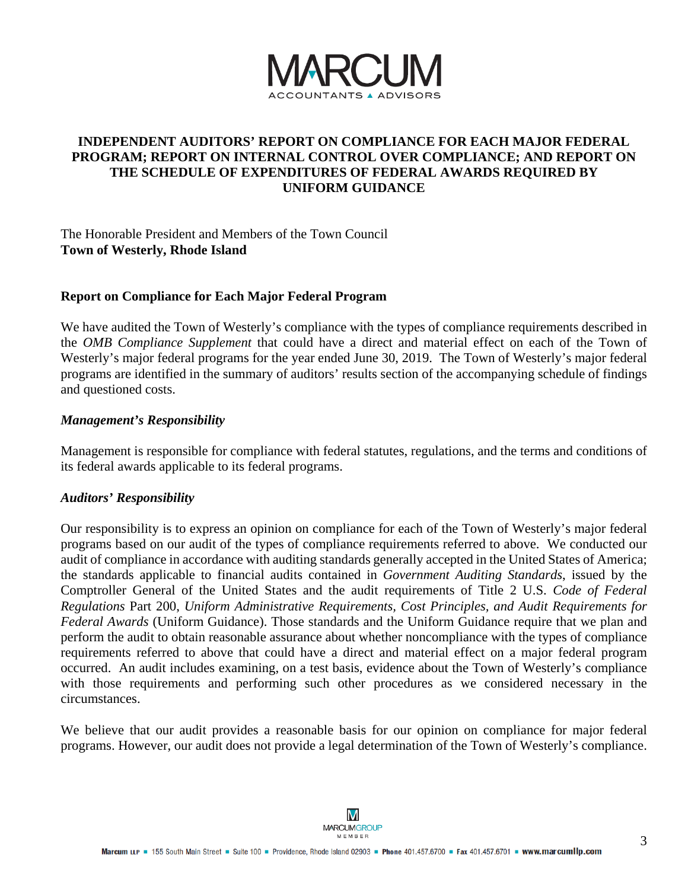

## **INDEPENDENT AUDITORS' REPORT ON COMPLIANCE FOR EACH MAJOR FEDERAL PROGRAM; REPORT ON INTERNAL CONTROL OVER COMPLIANCE; AND REPORT ON THE SCHEDULE OF EXPENDITURES OF FEDERAL AWARDS REQUIRED BY UNIFORM GUIDANCE**

The Honorable President and Members of the Town Council **Town of Westerly, Rhode Island** 

#### **Report on Compliance for Each Major Federal Program**

We have audited the Town of Westerly's compliance with the types of compliance requirements described in the *OMB Compliance Supplement* that could have a direct and material effect on each of the Town of Westerly's major federal programs for the year ended June 30, 2019. The Town of Westerly's major federal programs are identified in the summary of auditors' results section of the accompanying schedule of findings and questioned costs.

#### *Management's Responsibility*

Management is responsible for compliance with federal statutes, regulations, and the terms and conditions of its federal awards applicable to its federal programs.

#### *Auditors' Responsibility*

Our responsibility is to express an opinion on compliance for each of the Town of Westerly's major federal programs based on our audit of the types of compliance requirements referred to above. We conducted our audit of compliance in accordance with auditing standards generally accepted in the United States of America; the standards applicable to financial audits contained in *Government Auditing Standards*, issued by the Comptroller General of the United States and the audit requirements of Title 2 U.S. *Code of Federal Regulations* Part 200, *Uniform Administrative Requirements, Cost Principles, and Audit Requirements for Federal Awards* (Uniform Guidance). Those standards and the Uniform Guidance require that we plan and perform the audit to obtain reasonable assurance about whether noncompliance with the types of compliance requirements referred to above that could have a direct and material effect on a major federal program occurred. An audit includes examining, on a test basis, evidence about the Town of Westerly's compliance with those requirements and performing such other procedures as we considered necessary in the circumstances.

We believe that our audit provides a reasonable basis for our opinion on compliance for major federal programs. However, our audit does not provide a legal determination of the Town of Westerly's compliance.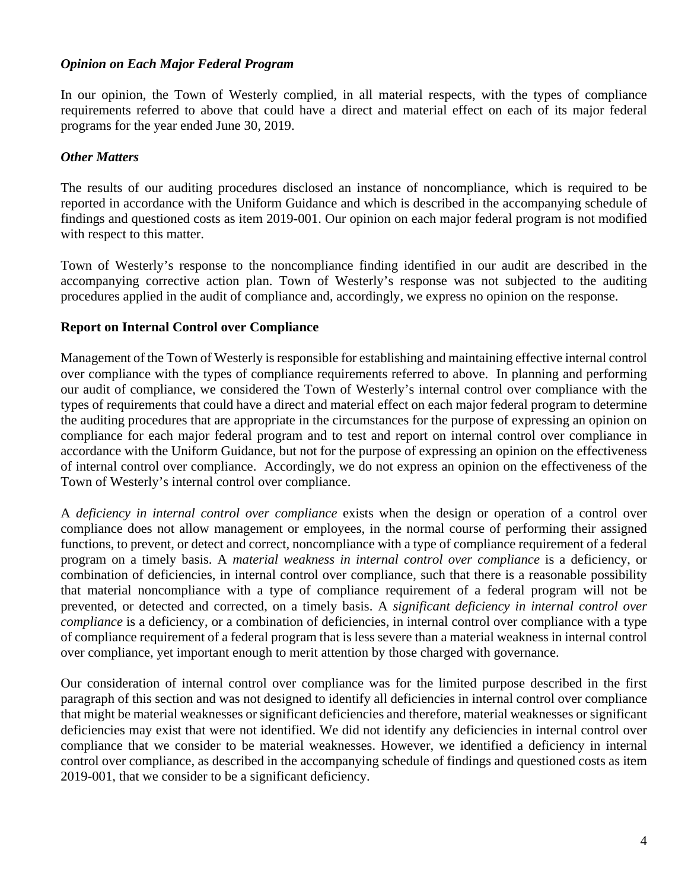#### *Opinion on Each Major Federal Program*

In our opinion, the Town of Westerly complied, in all material respects, with the types of compliance requirements referred to above that could have a direct and material effect on each of its major federal programs for the year ended June 30, 2019.

## *Other Matters*

The results of our auditing procedures disclosed an instance of noncompliance, which is required to be reported in accordance with the Uniform Guidance and which is described in the accompanying schedule of findings and questioned costs as item 2019-001. Our opinion on each major federal program is not modified with respect to this matter.

Town of Westerly's response to the noncompliance finding identified in our audit are described in the accompanying corrective action plan. Town of Westerly's response was not subjected to the auditing procedures applied in the audit of compliance and, accordingly, we express no opinion on the response.

### **Report on Internal Control over Compliance**

Management of the Town of Westerly is responsible for establishing and maintaining effective internal control over compliance with the types of compliance requirements referred to above. In planning and performing our audit of compliance, we considered the Town of Westerly's internal control over compliance with the types of requirements that could have a direct and material effect on each major federal program to determine the auditing procedures that are appropriate in the circumstances for the purpose of expressing an opinion on compliance for each major federal program and to test and report on internal control over compliance in accordance with the Uniform Guidance, but not for the purpose of expressing an opinion on the effectiveness of internal control over compliance. Accordingly, we do not express an opinion on the effectiveness of the Town of Westerly's internal control over compliance.

A *deficiency in internal control over compliance* exists when the design or operation of a control over compliance does not allow management or employees, in the normal course of performing their assigned functions, to prevent, or detect and correct, noncompliance with a type of compliance requirement of a federal program on a timely basis. A *material weakness in internal control over compliance* is a deficiency, or combination of deficiencies, in internal control over compliance, such that there is a reasonable possibility that material noncompliance with a type of compliance requirement of a federal program will not be prevented, or detected and corrected, on a timely basis. A *significant deficiency in internal control over compliance* is a deficiency, or a combination of deficiencies, in internal control over compliance with a type of compliance requirement of a federal program that is less severe than a material weakness in internal control over compliance, yet important enough to merit attention by those charged with governance.

Our consideration of internal control over compliance was for the limited purpose described in the first paragraph of this section and was not designed to identify all deficiencies in internal control over compliance that might be material weaknesses or significant deficiencies and therefore, material weaknesses or significant deficiencies may exist that were not identified. We did not identify any deficiencies in internal control over compliance that we consider to be material weaknesses. However, we identified a deficiency in internal control over compliance, as described in the accompanying schedule of findings and questioned costs as item 2019-001*,* that we consider to be a significant deficiency.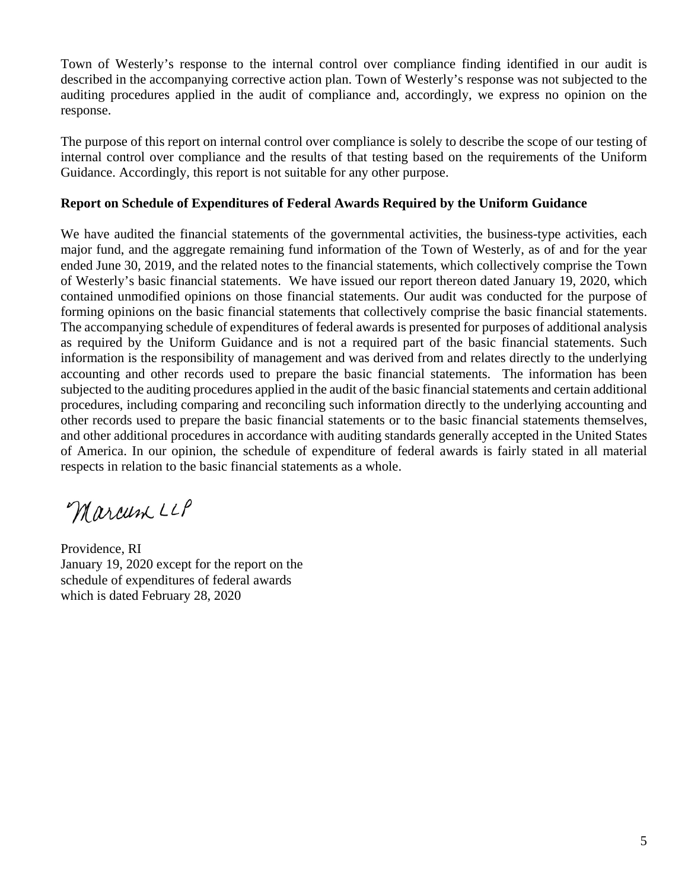Town of Westerly's response to the internal control over compliance finding identified in our audit is described in the accompanying corrective action plan. Town of Westerly's response was not subjected to the auditing procedures applied in the audit of compliance and, accordingly, we express no opinion on the response.

The purpose of this report on internal control over compliance is solely to describe the scope of our testing of internal control over compliance and the results of that testing based on the requirements of the Uniform Guidance. Accordingly, this report is not suitable for any other purpose.

## **Report on Schedule of Expenditures of Federal Awards Required by the Uniform Guidance**

We have audited the financial statements of the governmental activities, the business-type activities, each major fund, and the aggregate remaining fund information of the Town of Westerly, as of and for the year ended June 30, 2019, and the related notes to the financial statements, which collectively comprise the Town of Westerly's basic financial statements. We have issued our report thereon dated January 19, 2020, which contained unmodified opinions on those financial statements. Our audit was conducted for the purpose of forming opinions on the basic financial statements that collectively comprise the basic financial statements. The accompanying schedule of expenditures of federal awards is presented for purposes of additional analysis as required by the Uniform Guidance and is not a required part of the basic financial statements. Such information is the responsibility of management and was derived from and relates directly to the underlying accounting and other records used to prepare the basic financial statements. The information has been subjected to the auditing procedures applied in the audit of the basic financial statements and certain additional procedures, including comparing and reconciling such information directly to the underlying accounting and other records used to prepare the basic financial statements or to the basic financial statements themselves, and other additional procedures in accordance with auditing standards generally accepted in the United States of America. In our opinion, the schedule of expenditure of federal awards is fairly stated in all material respects in relation to the basic financial statements as a whole.

Marcum LLP

Providence, RI January 19, 2020 except for the report on the schedule of expenditures of federal awards which is dated February 28, 2020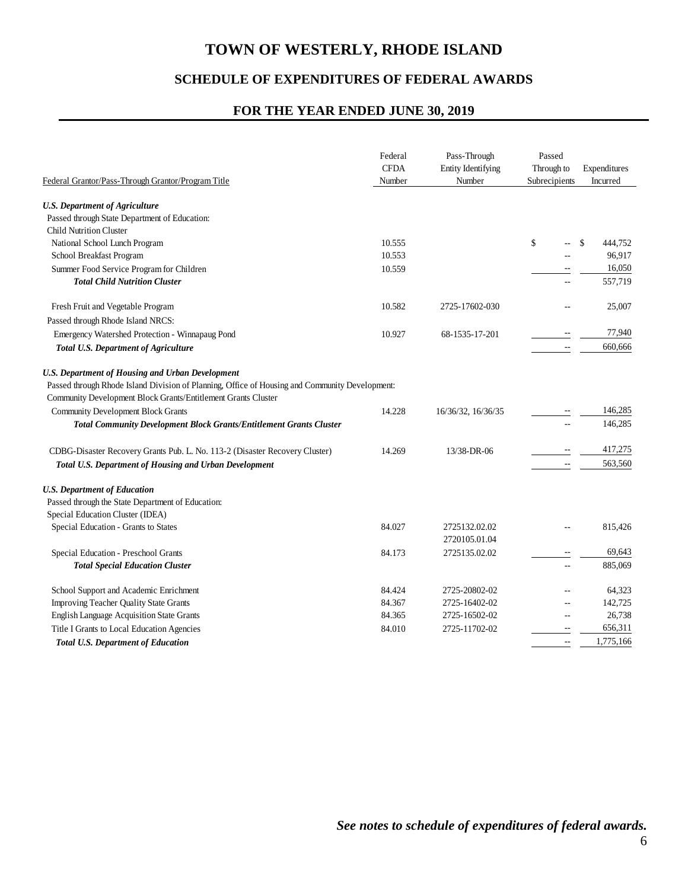## **SCHEDULE OF EXPENDITURES OF FEDERAL AWARDS**

### **FOR THE YEAR ENDED JUNE 30, 2019**

| Federal Grantor/Pass-Through Grantor/Program Title                                                                                                              | Federal<br><b>CFDA</b><br>Number | Pass-Through<br>Entity Identifying<br>Number | Passed<br>Through to<br>Subrecipients | Expenditures<br>Incurred |
|-----------------------------------------------------------------------------------------------------------------------------------------------------------------|----------------------------------|----------------------------------------------|---------------------------------------|--------------------------|
| <b>U.S. Department of Agriculture</b>                                                                                                                           |                                  |                                              |                                       |                          |
| Passed through State Department of Education:                                                                                                                   |                                  |                                              |                                       |                          |
| <b>Child Nutrition Cluster</b>                                                                                                                                  |                                  |                                              |                                       |                          |
| National School Lunch Program                                                                                                                                   | 10.555                           |                                              | \$                                    | \$<br>444.752            |
| School Breakfast Program                                                                                                                                        | 10.553                           |                                              |                                       | 96,917                   |
| Summer Food Service Program for Children                                                                                                                        | 10.559                           |                                              |                                       | 16,050                   |
| <b>Total Child Nutrition Cluster</b>                                                                                                                            |                                  |                                              |                                       | 557,719                  |
| Fresh Fruit and Vegetable Program                                                                                                                               | 10.582                           | 2725-17602-030                               |                                       | 25,007                   |
| Passed through Rhode Island NRCS:                                                                                                                               |                                  |                                              |                                       |                          |
| Emergency Watershed Protection - Winnapaug Pond                                                                                                                 | 10.927                           | 68-1535-17-201                               |                                       | 77,940                   |
| <b>Total U.S. Department of Agriculture</b>                                                                                                                     |                                  |                                              | $\mathbf{u}$                          | 660,666                  |
| <b>U.S. Department of Housing and Urban Development</b>                                                                                                         |                                  |                                              |                                       |                          |
| Passed through Rhode Island Division of Planning, Office of Housing and Community Development:<br>Community Development Block Grants/Entitlement Grants Cluster |                                  |                                              |                                       |                          |
| <b>Community Development Block Grants</b>                                                                                                                       | 14.228                           | 16/36/32, 16/36/35                           |                                       | 146,285                  |
| <b>Total Community Development Block Grants/Entitlement Grants Cluster</b>                                                                                      |                                  |                                              | $\sim$                                | 146,285                  |
| CDBG-Disaster Recovery Grants Pub. L. No. 113-2 (Disaster Recovery Cluster)                                                                                     | 14.269                           | 13/38-DR-06                                  |                                       | 417,275                  |
| Total U.S. Department of Housing and Urban Development                                                                                                          |                                  |                                              | $\overline{\phantom{a}}$              | 563,560                  |
| <b>U.S. Department of Education</b>                                                                                                                             |                                  |                                              |                                       |                          |
| Passed through the State Department of Education:                                                                                                               |                                  |                                              |                                       |                          |
| Special Education Cluster (IDEA)                                                                                                                                |                                  |                                              |                                       |                          |
| Special Education - Grants to States                                                                                                                            | 84.027                           | 2725132.02.02                                |                                       | 815,426                  |
|                                                                                                                                                                 |                                  | 2720105.01.04                                |                                       |                          |
| Special Education - Preschool Grants                                                                                                                            | 84.173                           | 2725135.02.02                                | $\sim$ $\sim$                         | 69,643                   |
| <b>Total Special Education Cluster</b>                                                                                                                          |                                  |                                              | $\sim$ $\sim$                         | 885,069                  |
| School Support and Academic Enrichment                                                                                                                          | 84.424                           | 2725-20802-02                                |                                       | 64,323                   |
| <b>Improving Teacher Quality State Grants</b>                                                                                                                   | 84.367                           | 2725-16402-02                                | $-$                                   | 142,725                  |
| English Language Acquisition State Grants                                                                                                                       | 84.365                           | 2725-16502-02                                | $\sim$ $\sim$                         | 26,738                   |
| Title I Grants to Local Education Agencies                                                                                                                      | 84.010                           | 2725-11702-02                                | $\sim$                                | 656,311                  |
| <b>Total U.S. Department of Education</b>                                                                                                                       |                                  |                                              | $\sim$ $\sim$                         | 1,775,166                |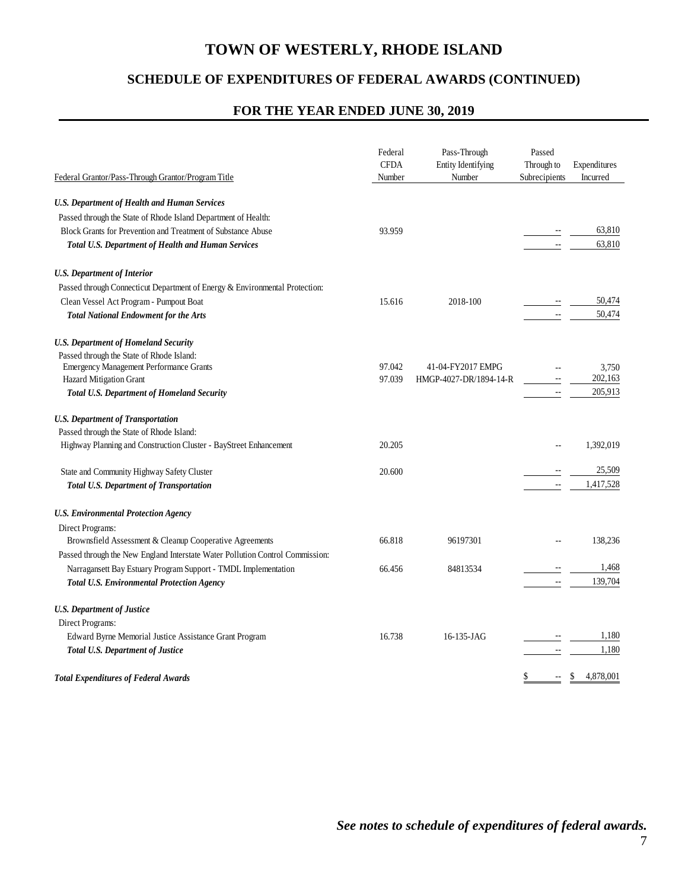## **SCHEDULE OF EXPENDITURES OF FEDERAL AWARDS (CONTINUED)**

#### **FOR THE YEAR ENDED JUNE 30, 2019**

| Federal Grantor/Pass-Through Grantor/Program Title                            | Federal<br><b>CFDA</b><br>Number | Pass-Through<br>Entity Identifying<br>Number | Passed<br>Through to<br>Subrecipients | Expenditures<br>Incurred |
|-------------------------------------------------------------------------------|----------------------------------|----------------------------------------------|---------------------------------------|--------------------------|
|                                                                               |                                  |                                              |                                       |                          |
| <b>U.S. Department of Health and Human Services</b>                           |                                  |                                              |                                       |                          |
| Passed through the State of Rhode Island Department of Health:                |                                  |                                              |                                       | 63,810                   |
| Block Grants for Prevention and Treatment of Substance Abuse                  | 93.959                           |                                              | $\mathbb{L}$                          | 63,810                   |
| Total U.S. Department of Health and Human Services                            |                                  |                                              |                                       |                          |
| <b>U.S. Department of Interior</b>                                            |                                  |                                              |                                       |                          |
| Passed through Connecticut Department of Energy & Environmental Protection:   |                                  |                                              |                                       |                          |
| Clean Vessel Act Program - Pumpout Boat                                       | 15.616                           | 2018-100                                     |                                       | 50,474                   |
| <b>Total National Endowment for the Arts</b>                                  |                                  |                                              |                                       | 50,474                   |
| <b>U.S. Department of Homeland Security</b>                                   |                                  |                                              |                                       |                          |
| Passed through the State of Rhode Island:                                     |                                  |                                              |                                       |                          |
| <b>Emergency Management Performance Grants</b>                                | 97.042                           | 41-04-FY2017 EMPG                            |                                       | 3,750                    |
| Hazard Mitigation Grant                                                       | 97.039                           | HMGP-4027-DR/1894-14-R                       | $\mathcal{L}_{\mathcal{F}}$           | 202,163                  |
| <b>Total U.S. Department of Homeland Security</b>                             |                                  |                                              | $\mathcal{L}_{\mathcal{F}}$           | 205,913                  |
| <b>U.S. Department of Transportation</b>                                      |                                  |                                              |                                       |                          |
| Passed through the State of Rhode Island:                                     |                                  |                                              |                                       |                          |
| Highway Planning and Construction Cluster - BayStreet Enhancement             | 20.205                           |                                              |                                       | 1,392,019                |
| State and Community Highway Safety Cluster                                    | 20.600                           |                                              |                                       | 25,509                   |
| <b>Total U.S. Department of Transportation</b>                                |                                  |                                              | $\overline{\phantom{a}}$              | 1,417,528                |
| <b>U.S. Environmental Protection Agency</b>                                   |                                  |                                              |                                       |                          |
| Direct Programs:                                                              |                                  |                                              |                                       |                          |
| Brownsfield Assessment & Cleanup Cooperative Agreements                       | 66.818                           | 96197301                                     |                                       | 138,236                  |
| Passed through the New England Interstate Water Pollution Control Commission: |                                  |                                              |                                       |                          |
| Narragansett Bay Estuary Program Support - TMDL Implementation                | 66.456                           | 84813534                                     |                                       | 1,468                    |
| <b>Total U.S. Environmental Protection Agency</b>                             |                                  |                                              | $\overline{\phantom{a}}$              | 139,704                  |
| <b>U.S. Department of Justice</b>                                             |                                  |                                              |                                       |                          |
| Direct Programs:                                                              |                                  |                                              |                                       |                          |
| Edward Byrne Memorial Justice Assistance Grant Program                        | 16.738                           | 16-135-JAG                                   |                                       | 1,180                    |
| <b>Total U.S. Department of Justice</b>                                       |                                  |                                              |                                       | 1,180                    |
| <b>Total Expenditures of Federal Awards</b>                                   |                                  |                                              | S                                     | 4,878,001<br>S           |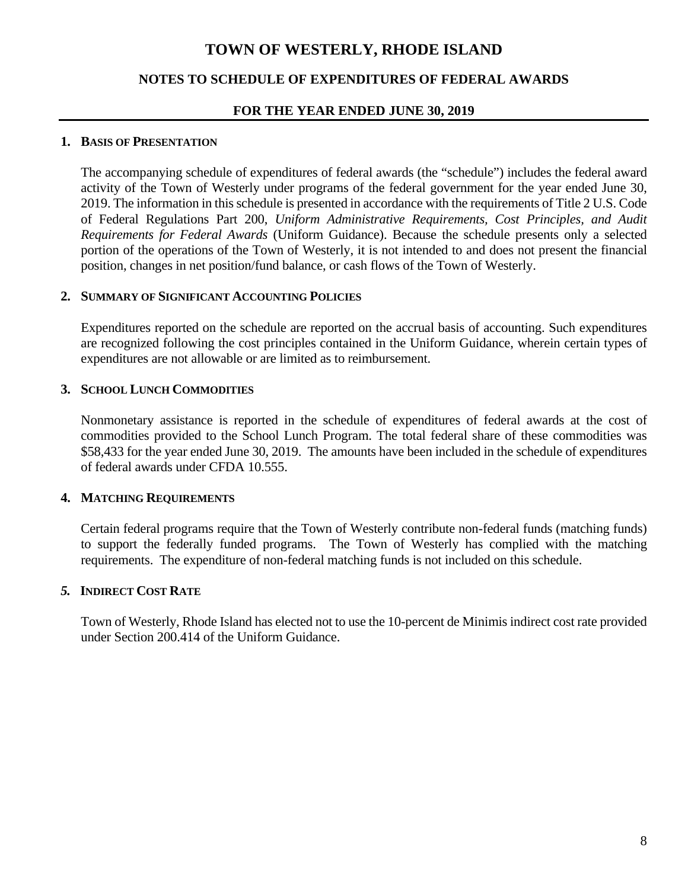## **NOTES TO SCHEDULE OF EXPENDITURES OF FEDERAL AWARDS**

#### **FOR THE YEAR ENDED JUNE 30, 2019**

#### **1. BASIS OF PRESENTATION**

The accompanying schedule of expenditures of federal awards (the "schedule") includes the federal award activity of the Town of Westerly under programs of the federal government for the year ended June 30, 2019. The information in this schedule is presented in accordance with the requirements of Title 2 U.S. Code of Federal Regulations Part 200, *Uniform Administrative Requirements, Cost Principles, and Audit Requirements for Federal Awards* (Uniform Guidance). Because the schedule presents only a selected portion of the operations of the Town of Westerly, it is not intended to and does not present the financial position, changes in net position/fund balance, or cash flows of the Town of Westerly.

#### **2. SUMMARY OF SIGNIFICANT ACCOUNTING POLICIES**

Expenditures reported on the schedule are reported on the accrual basis of accounting. Such expenditures are recognized following the cost principles contained in the Uniform Guidance, wherein certain types of expenditures are not allowable or are limited as to reimbursement.

#### **3. SCHOOL LUNCH COMMODITIES**

Nonmonetary assistance is reported in the schedule of expenditures of federal awards at the cost of commodities provided to the School Lunch Program. The total federal share of these commodities was \$58,433 for the year ended June 30, 2019. The amounts have been included in the schedule of expenditures of federal awards under CFDA 10.555.

#### **4. MATCHING REQUIREMENTS**

Certain federal programs require that the Town of Westerly contribute non-federal funds (matching funds) to support the federally funded programs. The Town of Westerly has complied with the matching requirements. The expenditure of non-federal matching funds is not included on this schedule.

#### *5.* **INDIRECT COST RATE**

Town of Westerly, Rhode Island has elected not to use the 10-percent de Minimis indirect cost rate provided under Section 200.414 of the Uniform Guidance.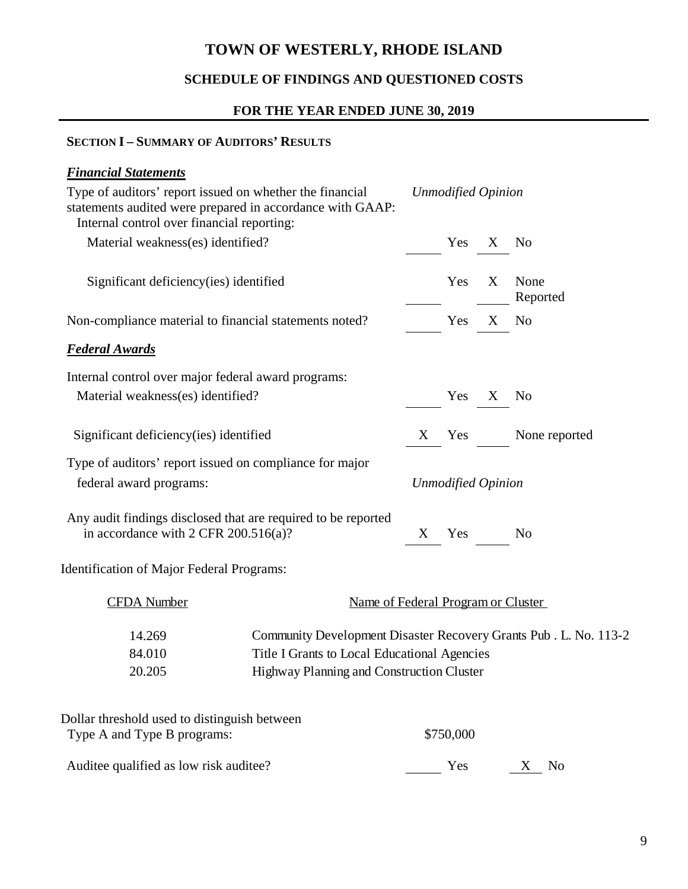## **SCHEDULE OF FINDINGS AND QUESTIONED COSTS**

## **FOR THE YEAR ENDED JUNE 30, 2019**

### **SECTION I – SUMMARY OF AUDITORS' RESULTS**

| <b>Financial Statements</b>                                                                                                                                         |                                                                  |                           |                           |              |                  |
|---------------------------------------------------------------------------------------------------------------------------------------------------------------------|------------------------------------------------------------------|---------------------------|---------------------------|--------------|------------------|
| Type of auditors' report issued on whether the financial<br>statements audited were prepared in accordance with GAAP:<br>Internal control over financial reporting: |                                                                  |                           | <b>Unmodified Opinion</b> |              |                  |
| Material weakness(es) identified?                                                                                                                                   |                                                                  |                           | Yes                       | $\mathbf{X}$ | N <sub>0</sub>   |
|                                                                                                                                                                     |                                                                  |                           |                           |              |                  |
| Significant deficiency (ies) identified                                                                                                                             |                                                                  |                           | Yes                       | X            | None<br>Reported |
| Non-compliance material to financial statements noted?                                                                                                              |                                                                  |                           | Yes                       | $\mathbf X$  | N <sub>0</sub>   |
| <b>Federal Awards</b>                                                                                                                                               |                                                                  |                           |                           |              |                  |
| Internal control over major federal award programs:                                                                                                                 |                                                                  |                           |                           |              |                  |
| Material weakness(es) identified?                                                                                                                                   |                                                                  |                           | Yes                       | $\mathbf{X}$ | N <sub>0</sub>   |
|                                                                                                                                                                     |                                                                  |                           |                           |              |                  |
| Significant deficiency (ies) identified                                                                                                                             |                                                                  |                           | X Yes                     |              | None reported    |
| Type of auditors' report issued on compliance for major                                                                                                             |                                                                  |                           |                           |              |                  |
| federal award programs:                                                                                                                                             |                                                                  | <b>Unmodified Opinion</b> |                           |              |                  |
| Any audit findings disclosed that are required to be reported<br>in accordance with 2 CFR $200.516(a)$ ?                                                            |                                                                  | X                         | Yes                       |              | No               |
| <b>Identification of Major Federal Programs:</b>                                                                                                                    |                                                                  |                           |                           |              |                  |
| <b>CFDA</b> Number                                                                                                                                                  | Name of Federal Program or Cluster                               |                           |                           |              |                  |
| 14.269                                                                                                                                                              | Community Development Disaster Recovery Grants Pub. L. No. 113-2 |                           |                           |              |                  |
| 84.010                                                                                                                                                              | Title I Grants to Local Educational Agencies                     |                           |                           |              |                  |
| 20.205                                                                                                                                                              | Highway Planning and Construction Cluster                        |                           |                           |              |                  |
|                                                                                                                                                                     |                                                                  |                           |                           |              |                  |
| Type A and Type B programs:                                                                                                                                         |                                                                  |                           | \$750,000                 |              |                  |
|                                                                                                                                                                     |                                                                  |                           |                           |              | No<br>X          |
| Dollar threshold used to distinguish between<br>Auditee qualified as low risk auditee?                                                                              |                                                                  |                           | Yes                       |              |                  |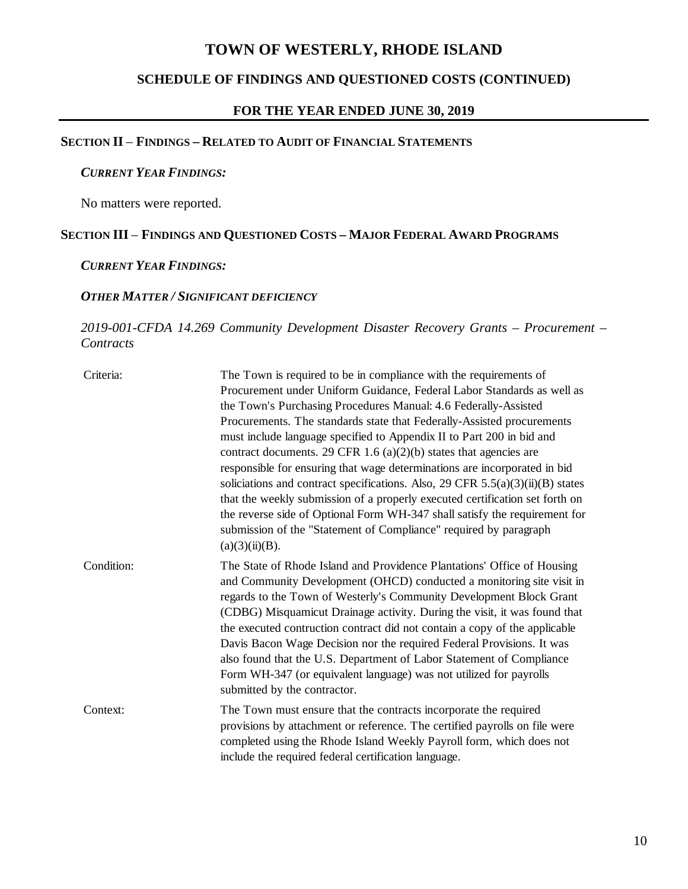## **SCHEDULE OF FINDINGS AND QUESTIONED COSTS (CONTINUED)**

#### **FOR THE YEAR ENDED JUNE 30, 2019**

## **SECTION II** *–* **FINDINGS – RELATED TO AUDIT OF FINANCIAL STATEMENTS**

#### *CURRENT YEAR FINDINGS:*

No matters were reported.

#### **SECTION III** *–* **FINDINGS AND QUESTIONED COSTS – MAJOR FEDERAL AWARD PROGRAMS**

#### *CURRENT YEAR FINDINGS:*

## *OTHER MATTER / SIGNIFICANT DEFICIENCY*

## *2019-001-CFDA 14.269 Community Development Disaster Recovery Grants – Procurement – Contracts*

| Criteria:  | The Town is required to be in compliance with the requirements of<br>Procurement under Uniform Guidance, Federal Labor Standards as well as<br>the Town's Purchasing Procedures Manual: 4.6 Federally-Assisted<br>Procurements. The standards state that Federally-Assisted procurements<br>must include language specified to Appendix II to Part 200 in bid and<br>contract documents. 29 CFR 1.6 $(a)(2)(b)$ states that agencies are<br>responsible for ensuring that wage determinations are incorporated in bid<br>soliciations and contract specifications. Also, 29 CFR 5.5(a)(3)(ii)(B) states<br>that the weekly submission of a properly executed certification set forth on<br>the reverse side of Optional Form WH-347 shall satisfy the requirement for<br>submission of the "Statement of Compliance" required by paragraph<br>(a)(3)(ii)(B). |
|------------|--------------------------------------------------------------------------------------------------------------------------------------------------------------------------------------------------------------------------------------------------------------------------------------------------------------------------------------------------------------------------------------------------------------------------------------------------------------------------------------------------------------------------------------------------------------------------------------------------------------------------------------------------------------------------------------------------------------------------------------------------------------------------------------------------------------------------------------------------------------|
| Condition: | The State of Rhode Island and Providence Plantations' Office of Housing<br>and Community Development (OHCD) conducted a monitoring site visit in<br>regards to the Town of Westerly's Community Development Block Grant<br>(CDBG) Misquamicut Drainage activity. During the visit, it was found that<br>the executed contruction contract did not contain a copy of the applicable<br>Davis Bacon Wage Decision nor the required Federal Provisions. It was<br>also found that the U.S. Department of Labor Statement of Compliance<br>Form WH-347 (or equivalent language) was not utilized for payrolls<br>submitted by the contractor.                                                                                                                                                                                                                    |
| Context:   | The Town must ensure that the contracts incorporate the required<br>provisions by attachment or reference. The certified payrolls on file were<br>completed using the Rhode Island Weekly Payroll form, which does not<br>include the required federal certification language.                                                                                                                                                                                                                                                                                                                                                                                                                                                                                                                                                                               |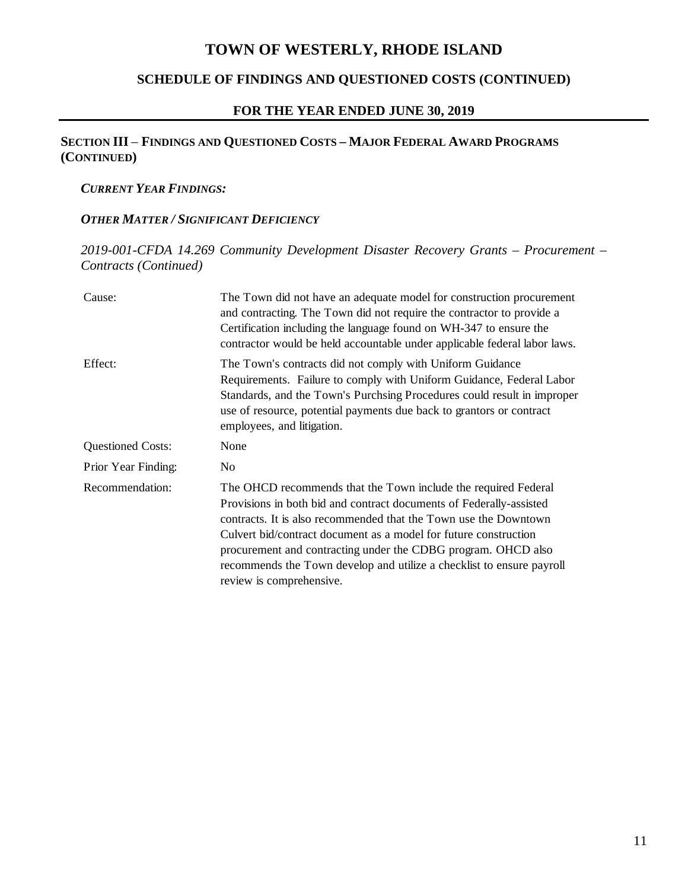## **SCHEDULE OF FINDINGS AND QUESTIONED COSTS (CONTINUED)**

## **FOR THE YEAR ENDED JUNE 30, 2019**

## **SECTION III** *–* **FINDINGS AND QUESTIONED COSTS – MAJOR FEDERAL AWARD PROGRAMS (CONTINUED)**

#### *CURRENT YEAR FINDINGS:*

#### *OTHER MATTER / SIGNIFICANT DEFICIENCY*

*2019-001-CFDA 14.269 Community Development Disaster Recovery Grants – Procurement – Contracts (Continued)* 

| Cause:                   | The Town did not have an adequate model for construction procurement<br>and contracting. The Town did not require the contractor to provide a<br>Certification including the language found on WH-347 to ensure the<br>contractor would be held accountable under applicable federal labor laws.                                                                                                                                                    |
|--------------------------|-----------------------------------------------------------------------------------------------------------------------------------------------------------------------------------------------------------------------------------------------------------------------------------------------------------------------------------------------------------------------------------------------------------------------------------------------------|
| Effect:                  | The Town's contracts did not comply with Uniform Guidance<br>Requirements. Failure to comply with Uniform Guidance, Federal Labor<br>Standards, and the Town's Purchsing Procedures could result in improper<br>use of resource, potential payments due back to grantors or contract<br>employees, and litigation.                                                                                                                                  |
| <b>Questioned Costs:</b> | None                                                                                                                                                                                                                                                                                                                                                                                                                                                |
| Prior Year Finding:      | N <sub>0</sub>                                                                                                                                                                                                                                                                                                                                                                                                                                      |
| Recommendation:          | The OHCD recommends that the Town include the required Federal<br>Provisions in both bid and contract documents of Federally-assisted<br>contracts. It is also recommended that the Town use the Downtown<br>Culvert bid/contract document as a model for future construction<br>procurement and contracting under the CDBG program. OHCD also<br>recommends the Town develop and utilize a checklist to ensure payroll<br>review is comprehensive. |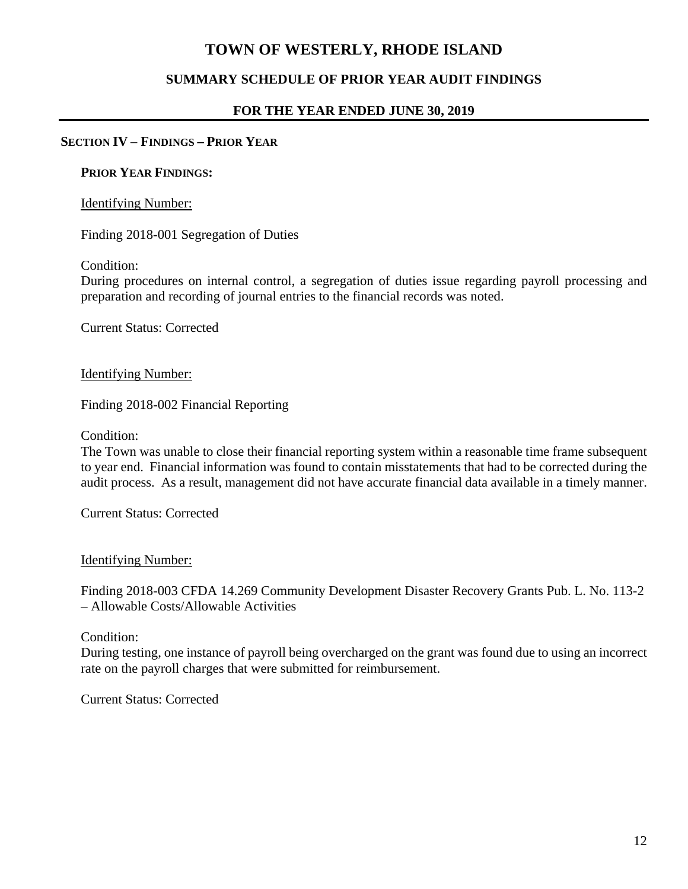## **SUMMARY SCHEDULE OF PRIOR YEAR AUDIT FINDINGS**

## **FOR THE YEAR ENDED JUNE 30, 2019**

### **SECTION IV** *–* **FINDINGS – PRIOR YEAR**

#### **PRIOR YEAR FINDINGS:**

#### Identifying Number:

Finding 2018-001 Segregation of Duties

Condition:

During procedures on internal control, a segregation of duties issue regarding payroll processing and preparation and recording of journal entries to the financial records was noted.

Current Status: Corrected

#### Identifying Number:

Finding 2018-002 Financial Reporting

Condition:

The Town was unable to close their financial reporting system within a reasonable time frame subsequent to year end. Financial information was found to contain misstatements that had to be corrected during the audit process. As a result, management did not have accurate financial data available in a timely manner.

Current Status: Corrected

#### Identifying Number:

Finding 2018-003 CFDA 14.269 Community Development Disaster Recovery Grants Pub. L. No. 113-2 – Allowable Costs/Allowable Activities

Condition:

During testing, one instance of payroll being overcharged on the grant was found due to using an incorrect rate on the payroll charges that were submitted for reimbursement.

Current Status: Corrected